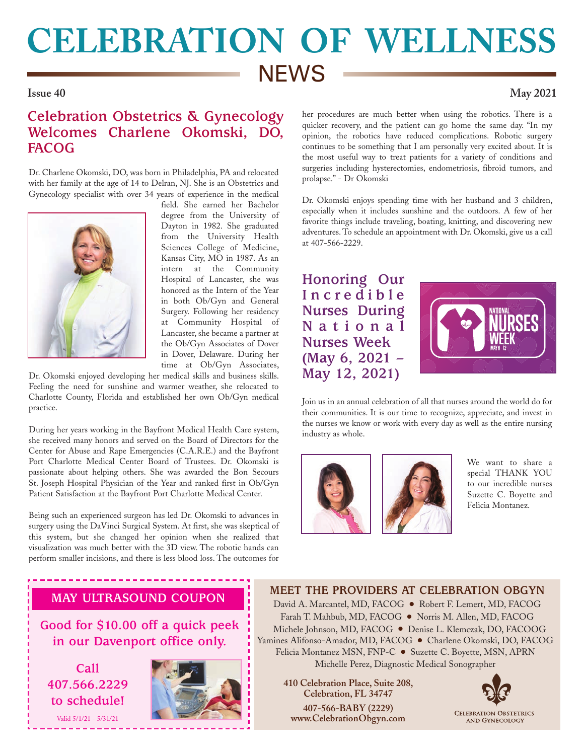# **CELEBRATION OF WELLNESS NEWS**

### **Issue 40 May 2021**

### **Celebration Obstetrics & Gynecology Welcomes Charlene Okomski, DO, FACOG**

Dr. Charlene Okomski, DO, was born in Philadelphia, PA and relocated with her family at the age of 14 to Delran, NJ. She is an Obstetrics and Gynecology specialist with over 34 years of experience in the medical



field. She earned her Bachelor degree from the University of Dayton in 1982. She graduated from the University Health Sciences College of Medicine, Kansas City, MO in 1987. As an intern at the Community Hospital of Lancaster, she was honored as the Intern of the Year in both Ob/Gyn and General Surgery. Following her residency at Community Hospital of Lancaster, she became a partner at the Ob/Gyn Associates of Dover in Dover, Delaware. During her time at Ob/Gyn Associates,

Dr. Okomski enjoyed developing her medical skills and business skills. Feeling the need for sunshine and warmer weather, she relocated to Charlotte County, Florida and established her own Ob/Gyn medical practice.

During her years working in the Bayfront Medical Health Care system, she received many honors and served on the Board of Directors for the Center for Abuse and Rape Emergencies (C.A.R.E.) and the Bayfront Port Charlotte Medical Center Board of Trustees. Dr. Okomski is passionate about helping others. She was awarded the Bon Secours St. Joseph Hospital Physician of the Year and ranked first in Ob/Gyn Patient Satisfaction at the Bayfront Port Charlotte Medical Center.

Being such an experienced surgeon has led Dr. Okomski to advances in surgery using the DaVinci Surgical System. At first, she was skeptical of this system, but she changed her opinion when she realized that visualization was much better with the 3D view. The robotic hands can perform smaller incisions, and there is less blood loss. The outcomes for her procedures are much better when using the robotics. There is a quicker recovery, and the patient can go home the same day. "In my opinion, the robotics have reduced complications. Robotic surgery continues to be something that I am personally very excited about. It is the most useful way to treat patients for a variety of conditions and surgeries including hysterectomies, endometriosis, fibroid tumors, and prolapse." - Dr Okomski

Dr. Okomski enjoys spending time with her husband and 3 children, especially when it includes sunshine and the outdoors. A few of her favorite things include traveling, boating, knitting, and discovering new adventures. To schedule an appointment with Dr. Okomski, give us a call at 407-566-2229.

**Honoring Our Incredible Nurses During National Nurses Week (May 6, 2021 – May 12, 2021)**



Join us in an annual celebration of all that nurses around the world do for their communities. It is our time to recognize, appreciate, and invest in the nurses we know or work with every day as well as the entire nursing industry as whole.



We want to share a special THANK YOU to our incredible nurses Suzette C. Boyette and Felicia Montanez.

### **MAY ULTRASOUND COUPON**

**Good for \$10.00 off a quick peek in our Davenport office only.** 

**Call 407.566.2229 to schedule!**

Valid 5/1/21 - 5/31/21



### **MEET THE PROVIDERS AT CELEBRATION OBGYN** David A. Marcantel, MD, FACOG ● Robert F. Lemert, MD, FACOG

Farah T. Mahbub, MD, FACOG ● Norris M. Allen, MD, FACOG Michele Johnson, MD, FACOG ● Denise L. Klemczak, DO, FACOOG Yamines Alifonso-Amador, MD, FACOG ● Charlene Okomski, DO, FACOG Felicia Montanez MSN, FNP-C ● Suzette C. Boyette, MSN, APRN Michelle Perez, Diagnostic Medical Sonographer

 **410 Celebration Place, Suite 208, Celebration, FL 34747 407-566-BABY (2229) www.CelebrationObgyn.com**